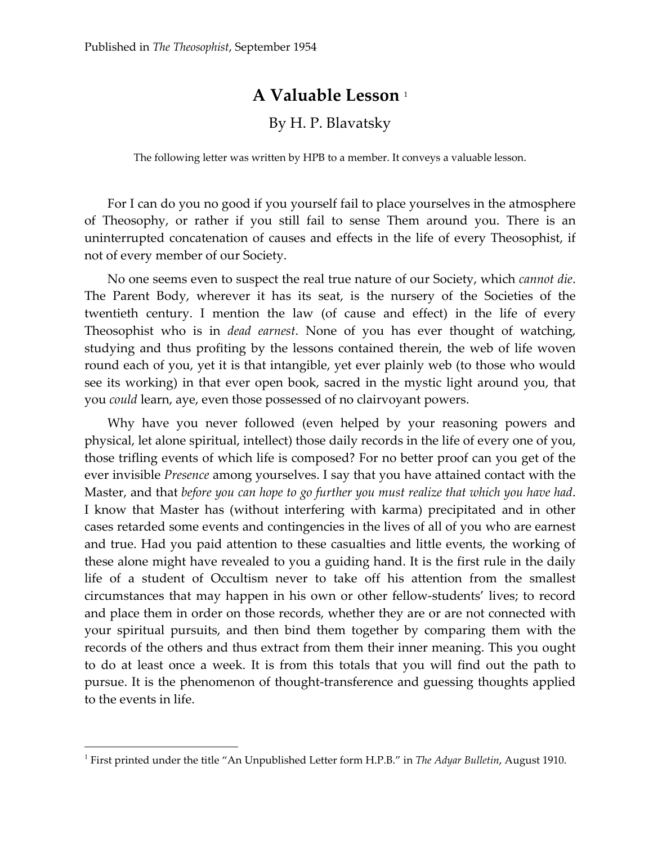## **A Valuable Lesson** <sup>1</sup>

## By H. P. Blavatsky

The following letter was written by HPB to a member. It conveys a valuable lesson.

For I can do you no good if you yourself fail to place yourselves in the atmosphere of Theosophy, or rather if you still fail to sense Them around you. There is an uninterrupted concatenation of causes and effects in the life of every Theosophist, if not of every member of our Society.

No one seems even to suspect the real true nature of our Society, which *cannot die*. The Parent Body, wherever it has its seat, is the nursery of the Societies of the twentieth century. I mention the law (of cause and effect) in the life of every Theosophist who is in *dead earnest*. None of you has ever thought of watching, studying and thus profiting by the lessons contained therein, the web of life woven round each of you, yet it is that intangible, yet ever plainly web (to those who would see its working) in that ever open book, sacred in the mystic light around you, that you *could* learn, aye, even those possessed of no clairvoyant powers.

Why have you never followed (even helped by your reasoning powers and physical, let alone spiritual, intellect) those daily records in the life of every one of you, those trifling events of which life is composed? For no better proof can you get of the ever invisible *Presence* among yourselves. I say that you have attained contact with the Master, and that *before you can hope to go further you must realize that which you have had*. I know that Master has (without interfering with karma) precipitated and in other cases retarded some events and contingencies in the lives of all of you who are earnest and true. Had you paid attention to these casualties and little events, the working of these alone might have revealed to you a guiding hand. It is the first rule in the daily life of a student of Occultism never to take off his attention from the smallest circumstances that may happen in his own or other fellow-students' lives; to record and place them in order on those records, whether they are or are not connected with your spiritual pursuits, and then bind them together by comparing them with the records of the others and thus extract from them their inner meaning. This you ought to do at least once a week. It is from this totals that you will find out the path to pursue. It is the phenomenon of thought-transference and guessing thoughts applied to the events in life.

 $\overline{a}$ 

<sup>1</sup> First printed under the title "An Unpublished Letter form H.P.B." in *The Adyar Bulletin*, August 1910.